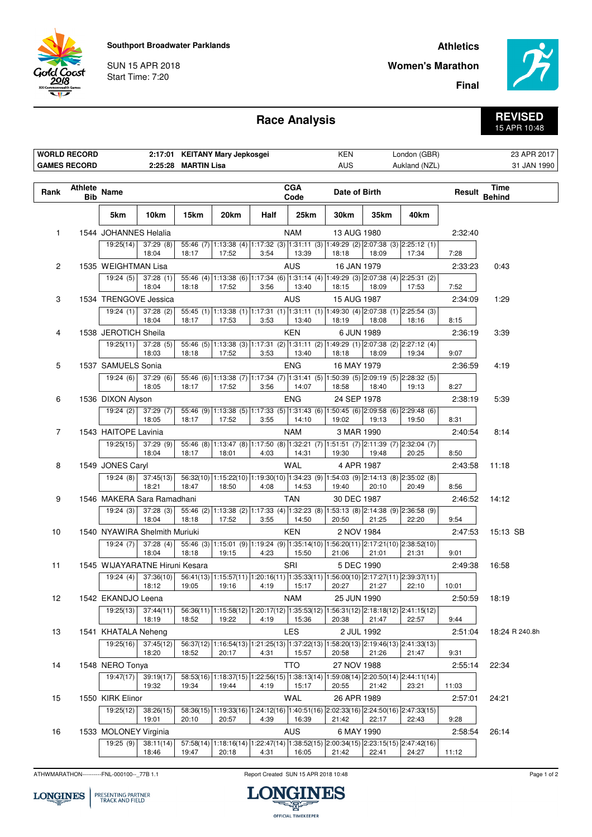**Southport Broadwater Parklands**

SUN 15 APR 2018 Start Time: 7:20

iold Coast 2018

## **Athletics**

**Final**

**Women's Marathon**



**Race Analysis**

## **REVISED** 15 APR 10:48

|                 | <b>WORLD RECORD</b><br><b>GAMES RECORD</b> |                       |                                | 2:25:28 MARTIN Lisa | 2:17:01 KEITANY Mary Jepkosgei                         |      |                    | KEN<br><b>AUS</b>                                                                          |                                              | London (GBR)<br>Aukland (NZL) |         | 23 APR 2017<br>31 JAN 1990 |
|-----------------|--------------------------------------------|-----------------------|--------------------------------|---------------------|--------------------------------------------------------|------|--------------------|--------------------------------------------------------------------------------------------|----------------------------------------------|-------------------------------|---------|----------------------------|
| Rank            | Athlete Name<br><b>Bib</b>                 |                       |                                |                     |                                                        |      | <b>CGA</b><br>Code | Date of Birth                                                                              |                                              |                               | Result  | Time<br><b>Behind</b>      |
|                 |                                            | 5km                   | 10km                           | 15km                | 20km                                                   | Half | 25km               | 30km                                                                                       | 35km                                         | 40km                          |         |                            |
| $\mathbf{1}$    |                                            | 1544 JOHANNES Helalia |                                |                     |                                                        |      | <b>NAM</b>         | 13 AUG 1980                                                                                |                                              |                               | 2:32:40 |                            |
|                 |                                            | 19:25(14)             | 37:29(8)<br>18:04              | 18:17               | 17:52                                                  | 3:54 | 13:39              | 55:46 (7) 1:13:38 (4) 1:17:32 (3) 1:31:11 (3) 1:49:29 (2) 2:07:38 (3) 2:25:12 (1)<br>18:18 | 18:09                                        | 17:34                         | 7:28    |                            |
| $\overline{2}$  |                                            | 1535 WEIGHTMAN Lisa   |                                |                     |                                                        |      | <b>AUS</b>         | 16 JAN 1979                                                                                |                                              |                               | 2:33:23 | 0:43                       |
|                 |                                            | 19:24(5)              | 37:28(1)<br>18:04              | 18:18               | 17:52                                                  | 3:56 | 13:40              | 55:46 (4) 1:13:38 (6) 1:17:34 (6) 1:31:14 (4) 1:49:29 (3) 2:07:38 (4) 2:25:31 (2)<br>18:15 | 18:09                                        | 17:53                         | 7:52    |                            |
| 3               |                                            | 1534 TRENGOVE Jessica |                                |                     |                                                        |      | <b>AUS</b>         | 15 AUG 1987                                                                                |                                              |                               | 2:34:09 | 1:29                       |
|                 |                                            | 19:24(1)              | 37:28(2)<br>18:04              | 18:17               | 17:53                                                  | 3:53 | 13:40              | 55:45 (1) 1:13:38 (1) 1:17:31 (1) 1:31:11 (1) 1:49:30 (4) 2:07:38 (1) 2:25:54 (3)<br>18:19 | 18:08                                        | 18:16                         | 8:15    |                            |
| 4               |                                            | 1538 JEROTICH Sheila  |                                |                     |                                                        |      | KEN                | 6 JUN 1989                                                                                 |                                              |                               | 2:36:19 | 3:39                       |
|                 |                                            | 19:25(11)             | 37:28(5)<br>18:03              | 18:18               | 17:52                                                  | 3:53 | 13:40              | 55:46 (5) 1:13:38 (3) 1:17:31 (2) 1:31:11 (2) 1:49:29 (1) 2:07:38 (2) 2:27:12 (4)<br>18:18 | 18:09                                        | 19:34                         | 9:07    |                            |
| 5               |                                            | 1537 SAMUELS Sonia    |                                |                     |                                                        |      | <b>ENG</b>         | 16 MAY 1979                                                                                |                                              |                               | 2:36:59 | 4:19                       |
|                 |                                            | 19:24(6)              | 37:29(6)<br>18:05              | 18:17               | 17:52                                                  | 3:56 | 14:07              | 55:46 (6) 1:13:38 (7) 1:17:34 (7) 1:31:41 (5) 1:50:39 (5) 2:09:19 (5) 2:28:32 (5)<br>18:58 | 18:40                                        | 19:13                         | 8:27    |                            |
| 6               |                                            | 1536 DIXON Alyson     |                                |                     |                                                        |      | <b>ENG</b>         | 24 SEP 1978                                                                                |                                              |                               | 2:38:19 | 5:39                       |
|                 |                                            | 19:24 (2)             | 37:29(7)<br>18:05              | 18:17               | 17:52                                                  | 3:55 | 14:10              | 55:46 (9) 1:13:38 (5) 1:17:33 (5) 1:31:43 (6) 1:50:45 (6) 2:09:58 (6) 2:29:48 (6)<br>19:02 | 19:13                                        | 19:50                         | 8:31    |                            |
| $\overline{7}$  |                                            | 1543 HAITOPE Lavinia  |                                |                     |                                                        |      | <b>NAM</b>         | 3 MAR 1990                                                                                 |                                              |                               | 2:40:54 | 8:14                       |
|                 |                                            | 19:25(15)             | 37:29(9)<br>18:04              | 18:17               | 18:01                                                  | 4:03 | 14:31              | 55:46 (8) 1:13:47 (8) 1:17:50 (8) 1:32:21 (7) 1:51:51 (7) 2:11:39 (7) 2:32:04 (7)<br>19:30 | 19:48                                        | 20:25                         | 8:50    |                            |
| 8               |                                            | 1549 JONES Caryl      |                                |                     |                                                        |      | <b>WAL</b>         | 4 APR 1987                                                                                 |                                              |                               | 2:43:58 | 11:18                      |
|                 |                                            | 19:24(8)              | 37:45(13)<br>18:21             | 18:47               | 18:50                                                  | 4:08 | 14:53              | 56:32(10) 1:15:22(10) 1:19:30(10) 1:34:23 (9) 1:54:03 (9) 2:14:13 (8) 2:35:02 (8)<br>19:40 | 20:10                                        | 20:49                         | 8:56    |                            |
| 9               |                                            |                       | 1546 MAKERA Sara Ramadhani     |                     |                                                        |      | <b>TAN</b>         | 30 DEC 1987                                                                                |                                              |                               | 2:46:52 | 14:12                      |
|                 |                                            | 19:24(3)              | 37:28(3)<br>18:04              | 18:18               | 17:52                                                  | 3:55 | 14:50              | 55:46 (2) 1:13:38 (2) 1:17:33 (4) 1:32:23 (8) 1:53:13 (8) 2:14:38 (9) 2:36:58 (9)<br>20:50 | 21:25                                        | 22:20                         | 9:54    |                            |
| 10 <sup>°</sup> |                                            |                       | 1540 NYAWIRA Shelmith Muriuki  |                     |                                                        |      | <b>KEN</b>         | 2 NOV 1984                                                                                 |                                              |                               | 2:47:53 | 15:13 SB                   |
|                 |                                            | 19:24 (7)             | 37:28(4)<br>18:04              | 18:18               | 19:15                                                  | 4:23 | 15:50              | 55:46 (3) 1:15:01 (9) 1:19:24 (9) 1:35:14(10) 1:56:20(11) 2:17:21(10) 2:38:52(10)<br>21:06 | 21:01                                        | 21:31                         | 9:01    |                            |
| 11              |                                            |                       | 1545 WIJAYARATNE Hiruni Kesara |                     |                                                        |      | SRI                | 5 DEC 1990                                                                                 |                                              |                               | 2:49:38 | 16:58                      |
|                 |                                            | 19:24(4)              | 37:36(10)<br>18:12             | 19:05               | 19:16                                                  | 4:19 | 15:17              | 56:41(13) 1:15:57(11) 1:20:16(11) 1:35:33(11) 1:56:00(10) 2:17:27(11) 2:39:37(11)<br>20:27 | 21:27                                        | 22:10                         | 10:01   |                            |
| 12              |                                            | 1542 EKANDJO Leena    |                                |                     |                                                        |      | <b>NAM</b>         | 25 JUN 1990                                                                                |                                              |                               |         | 2:50:59 18:19              |
|                 |                                            | 19:25(13)             | 37:44(11)<br>18:19             | 18:52               | 19:22                                                  | 4:19 | 15:36              | 56:36(11) 1:15:58(12) 1:20:17(12) 1:35:53(12) 1:56:31(12) 2:18:18(12) 2:41:15(12)<br>20:38 | 21:47                                        | 22:57                         | 9:44    |                            |
| 13              |                                            | 1541 KHATALA Neheng   |                                |                     |                                                        |      | LES                | 2 JUL 1992                                                                                 |                                              |                               | 2:51:04 | 18:24 R 240.8h             |
|                 |                                            | 19:25(16)             | 37:45(12)<br>18:20             | 18:52               | 56:37(12) 1:16:54(13) 1:21:25(13) 1:37:22(13)<br>20:17 | 4:31 | 15:57              | 20:58                                                                                      | 1:58:20(13) 2:19:46(13) 2:41:33(13)<br>21:26 | 21:47                         | 9:31    |                            |
| 14              |                                            | 1548 NERO Tonya       |                                |                     |                                                        |      | TTO                | 27 NOV 1988                                                                                |                                              |                               | 2:55:14 | 22:34                      |
|                 |                                            | 19:47(17)             | 39:19(17)<br>19:32             | 19:34               | 19:44                                                  | 4:19 | 15:17              | 58:53(16) 1:18:37(15) 1:22:56(15) 1:38:13(14) 1:59:08(14) 2:20:50(14) 2:44:11(14)<br>20:55 | 21:42                                        | 23:21                         | 11:03   |                            |
| 15              |                                            | 1550 KIRK Elinor      |                                |                     |                                                        |      | WAL                | 26 APR 1989                                                                                |                                              |                               | 2:57:01 | 24:21                      |
|                 |                                            | 19:25(12)             | 38:26(15)<br>19:01             | 20:10               | 20:57                                                  | 4:39 | 16:39              | 58:36(15) 1:19:33(16) 1:24:12(16) 1:40:51(16) 2:02:33(16) 2:24:50(16) 2:47:33(15)<br>21:42 | 22:17                                        | 22:43                         | 9:28    |                            |
| 16              |                                            | 1533 MOLONEY Virginia |                                |                     |                                                        |      | <b>AUS</b>         | 6 MAY 1990                                                                                 |                                              |                               | 2:58:54 | 26:14                      |
|                 |                                            | 19:25 (9)             | 38:11(14)<br>18:46             | 19:47               | 20:18                                                  | 4:31 | 16:05              | 57:58(14) 1:18:16(14) 1:22:47(14) 1:38:52(15) 2:00:34(15) 2:23:15(15) 2:47:42(16)<br>21:42 | 22:41                                        | 24:27                         | 11:12   |                            |

ATHWMARATHON----------FNL-000100--\_77B 1.1 Report Created SUN 15 APR 2018 10:48

**LONGINES** 

PRESENTING PARTNER<br>TRACK AND FIELD